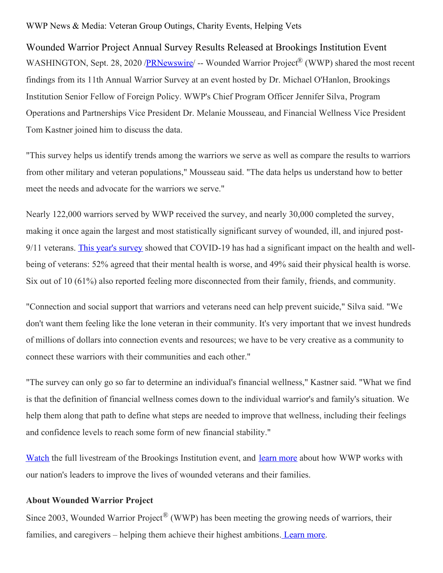## WWP News & Media: Veteran Group Outings, Charity Events, Helping Vets

Wounded Warrior Project Annual Survey Results Released at Brookings Institution Event WASHINGTON, Sept. 28, 2020 [/PRNewswire](http://www.prnewswire.com/)/ -- Wounded Warrior Project® (WWP) shared the most recent findings from its 11th Annual Warrior Survey at an event hosted by Dr. Michael O'Hanlon, Brookings Institution Senior Fellow of Foreign Policy. WWP's Chief Program Officer Jennifer Silva, Program Operations and Partnerships Vice President Dr. Melanie Mousseau, and Financial Wellness Vice President Tom Kastner joined him to discuss the data.

"This survey helps us identify trends among the warriors we serve as well as compare the results to warriors from other military and veteran populations," Mousseau said. "The data helps us understand how to better meet the needs and advocate for the warriors we serve."

Nearly 122,000 warriors served by WWP received the survey, and nearly 30,000 completed the survey, making it once again the largest and most statistically significant survey of wounded, ill, and injured post-9/11 veterans. This year's [survey](https://c212.net/c/link/?t=0&l=en&o=2930686-1&h=544150512&u=https%3A%2F%2Fwww.woundedwarriorproject.org%2Fmission%2Fannual-warrior-survey&a=This+year%27s+survey) showed that COVID-19 has had a significant impact on the health and wellbeing of veterans: 52% agreed that their mental health is worse, and 49% said their physical health is worse. Six out of 10 (61%) also reported feeling more disconnected from their family, friends, and community.

"Connection and social support that warriors and veterans need can help prevent suicide," Silva said. "We don't want them feeling like the lone veteran in their community. It's very important that we invest hundreds of millions of dollars into connection events and resources; we have to be very creative as a community to connect these warriors with their communities and each other."

"The survey can only go so far to determine an individual's financial wellness," Kastner said. "What we find is that the definition of financial wellness comes down to the individual warrior's and family's situation. We help them along that path to define what steps are needed to improve that wellness, including their feelings and confidence levels to reach some form of new financial stability."

[Watch](https://c212.net/c/link/?t=0&l=en&o=2930686-1&h=3963018263&u=https%3A%2F%2Fwww.youtube.com%2Fwatch%3Fv%3Dc-T72OLFg-A%26feature%3Demb_title&a=Watch) the full livestream of the Brookings Institution event, and [learn](https://c212.net/c/link/?t=0&l=en&o=2930686-1&h=135548077&u=https%3A%2F%2Fwww.woundedwarriorproject.org%2Fprograms%2Fgovernment-affairs&a=learn+more) more about how WWP works with our nation's leaders to improve the lives of wounded veterans and their families.

## **About Wounded Warrior Project**

Since 2003, Wounded Warrior Project<sup>®</sup> (WWP) has been meeting the growing needs of warriors, their families, and caregivers – helping them achieve their highest ambitions. [Learn](https://c212.net/c/link/?t=0&l=en&o=2930686-1&h=1884142370&u=http%3A%2F%2Fnewsroom.woundedwarriorproject.org%2Fabout-us&a=%C2%A0Learn+more) more.